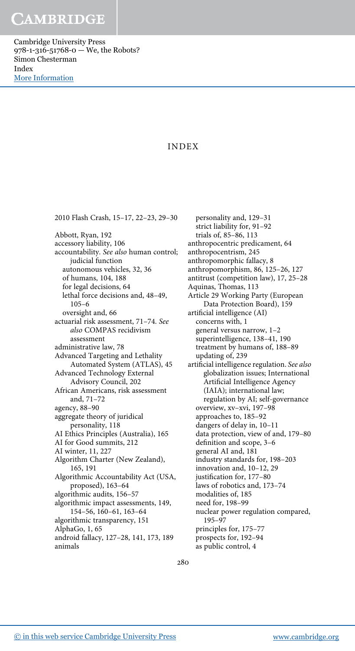Cambridge University Press 978-1-316-51768-0 — We, the Robots? Simon Chesterman Index [More Information](www.cambridge.org/9781316517680)

### INDEX

2010 Flash Crash, 15–17, 22–23, 29–30 Abbott, Ryan, 192 accessory liability, 106 accountability. See also human control; judicial function autonomous vehicles, 32, 36 of humans, 104, 188 for legal decisions, 64 lethal force decisions and, 48–49, 105–6 oversight and, 66 actuarial risk assessment, 71–74. See also COMPAS recidivism assessment administrative law, 78 Advanced Targeting and Lethality Automated System (ATLAS), 45 Advanced Technology External Advisory Council, 202 African Americans, risk assessment and, 71–72 agency, 88–90 aggregate theory of juridical personality, 118 AI Ethics Principles (Australia), 165 AI for Good summits, 212 AI winter, 11, 227 Algorithm Charter (New Zealand), 165, 191 Algorithmic Accountability Act (USA, proposed), 163–64 algorithmic audits, 156–57 algorithmic impact assessments, 149, 154–56, 160–61, 163–64 algorithmic transparency, 151 AlphaGo, 1, 65 android fallacy, 127–28, 141, 173, 189 animals

personality and, 129–31 strict liability for, 91–92 trials of, 85–86, 113 anthropocentric predicament, 64 anthropocentrism, 245 anthropomorphic fallacy, 8 anthropomorphism, 86, 125–26, 127 antitrust (competition law), 17, 25–28 Aquinas, Thomas, 113 Article 29 Working Party (European Data Protection Board), 159 artificial intelligence (AI) concerns with, 1 general versus narrow, 1–2 superintelligence, 138–41, 190 treatment by humans of, 188–89 updating of, 239 artificial intelligence regulation. See also globalization issues; International Artificial Intelligence Agency (IAIA); international law; regulation by AI; self-governance overview, xv–xvi, 197–98 approaches to, 185–92 dangers of delay in, 10–11 data protection, view of and, 179–80 definition and scope, 3–6 general AI and, 181 industry standards for, 198–203 innovation and, 10–12, 29 justification for, 177–80 laws of robotics and, 173–74 modalities of, 185 need for, 198–99 nuclear power regulation compared, 195–97 principles for, 175–77 prospects for, 192–94 as public control, 4

280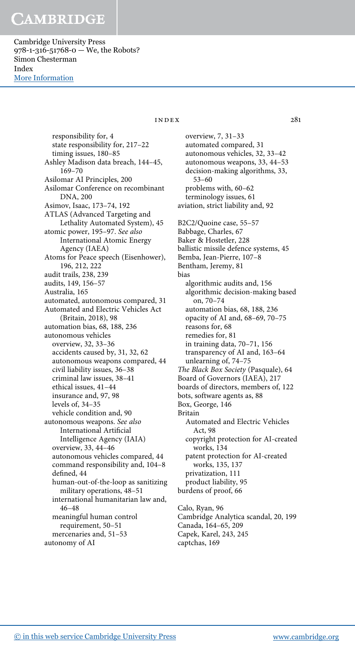Cambridge University Press 978-1-316-51768-0 — We, the Robots? Simon Chesterman Index [More Information](www.cambridge.org/9781316517680)

> responsibility for, 4 state responsibility for, 217–22 timing issues, 180–85 Ashley Madison data breach, 144–45, 169–70 Asilomar AI Principles, 200 Asilomar Conference on recombinant DNA, 200 Asimov, Isaac, 173–74, 192 ATLAS (Advanced Targeting and Lethality Automated System), 45 atomic power, 195–97. See also International Atomic Energy Agency (IAEA) Atoms for Peace speech (Eisenhower), 196, 212, 222 audit trails, 238, 239 audits, 149, 156–57 Australia, 165 automated, autonomous compared, 31 Automated and Electric Vehicles Act (Britain, 2018), 98 automation bias, 68, 188, 236 autonomous vehicles overview, 32, 33–36 accidents caused by, 31, 32, 62 autonomous weapons compared, 44 civil liability issues, 36–38 criminal law issues, 38–41 ethical issues, 41–44 insurance and, 97, 98 levels of, 34–35 vehicle condition and, 90 autonomous weapons. See also International Artificial Intelligence Agency (IAIA) overview, 33, 44–46 autonomous vehicles compared, 44 command responsibility and, 104–8 defined, 44 human-out-of-the-loop as sanitizing military operations, 48–51 international humanitarian law and, 46–48 meaningful human control requirement, 50–51 mercenaries and, 51–53 autonomy of AI

### $INDEX$  281

overview, 7, 31–33 automated compared, 31 autonomous vehicles, 32, 33–42 autonomous weapons, 33, 44–53 decision-making algorithms, 33, 53–60 problems with, 60–62 terminology issues, 61 aviation, strict liability and, 92 B2C2/Quoine case, 55–57 Babbage, Charles, 67 Baker & Hostetler, 228 ballistic missile defence systems, 45 Bemba, Jean-Pierre, 107–8 Bentham, Jeremy, 81 bias algorithmic audits and, 156 algorithmic decision-making based on, 70–74 automation bias, 68, 188, 236 opacity of AI and, 68–69, 70–75 reasons for, 68 remedies for, 81 in training data, 70–71, 156 transparency of AI and, 163–64 unlearning of, 74–75 The Black Box Society (Pasquale), 64 Board of Governors (IAEA), 217 boards of directors, members of, 122 bots, software agents as, 88 Box, George, 146 Britain Automated and Electric Vehicles Act, 98 copyright protection for AI-created works, 134 patent protection for AI-created works, 135, 137 privatization, 111 product liability, 95 burdens of proof, 66 Calo, Ryan, 96 Cambridge Analytica scandal, 20, 199 Canada, 164–65, 209

Capek, Karel, 243, 245

captchas, 169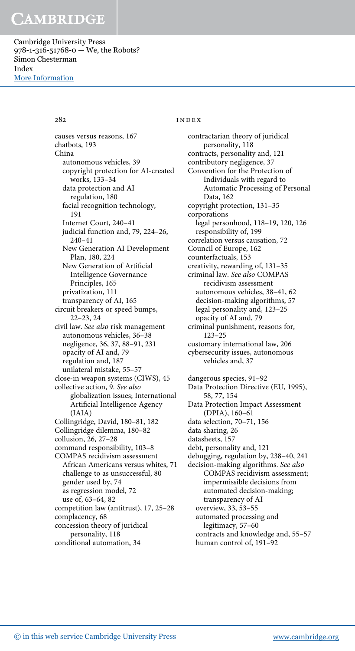Cambridge University Press 978-1-316-51768-0 — We, the Robots? Simon Chesterman Index [More Information](www.cambridge.org/9781316517680)

causes versus reasons, 167 chatbots, 193 China autonomous vehicles, 39 copyright protection for AI-created works, 133–34 data protection and AI regulation, 180 facial recognition technology, 191 Internet Court, 240–41 judicial function and, 79, 224–26, 240–41 New Generation AI Development Plan, 180, 224 New Generation of Artificial Intelligence Governance Principles, 165 privatization, 111 transparency of AI, 165 circuit breakers or speed bumps, 22–23, 24 civil law. See also risk management autonomous vehicles, 36–38 negligence, 36, 37, 88–91, 231 opacity of AI and, 79 regulation and, 187 unilateral mistake, 55–57 close-in weapon systems (CIWS), 45 collective action, 9. See also globalization issues; International Artificial Intelligence Agency (IAIA) Collingridge, David, 180–81, 182 Collingridge dilemma, 180–82 collusion, 26, 27–28 command responsibility, 103–8 COMPAS recidivism assessment African Americans versus whites, 71 challenge to as unsuccessful, 80 gender used by, 74 as regression model, 72 use of, 63–64, 82 competition law (antitrust), 17, 25–28 complacency, 68 concession theory of juridical personality, 118 conditional automation, 34

### 282 **index**

contractarian theory of juridical personality, 118 contracts, personality and, 121 contributory negligence, 37 Convention for the Protection of Individuals with regard to Automatic Processing of Personal Data, 162 copyright protection, 131–35 corporations legal personhood, 118–19, 120, 126 responsibility of, 199 correlation versus causation, 72 Council of Europe, 162 counterfactuals, 153 creativity, rewarding of, 131–35 criminal law. See also COMPAS recidivism assessment autonomous vehicles, 38–41, 62 decision-making algorithms, 57 legal personality and, 123–25 opacity of AI and, 79 criminal punishment, reasons for, 123–25 customary international law, 206 cybersecurity issues, autonomous vehicles and, 37 dangerous species, 91–92 Data Protection Directive (EU, 1995), 58, 77, 154 Data Protection Impact Assessment (DPIA), 160–61 data selection, 70–71, 156 data sharing, 26 datasheets, 157 debt, personality and, 121 debugging, regulation by, 238–40, 241 decision-making algorithms. See also COMPAS recidivism assessment; impermissible decisions from automated decision-making; transparency of AI overview, 33, 53–55 automated processing and legitimacy, 57–60 contracts and knowledge and, 55–57 human control of, 191–92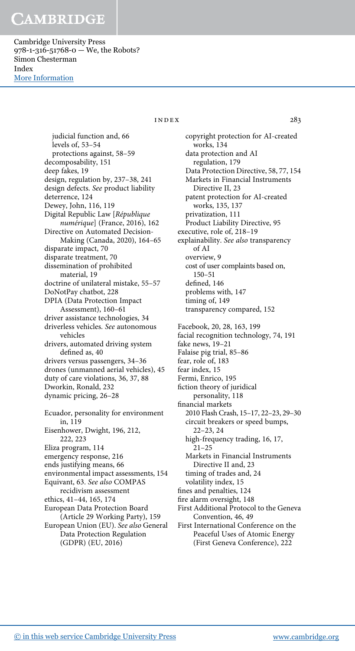Cambridge University Press 978-1-316-51768-0 — We, the Robots? Simon Chesterman Index [More Information](www.cambridge.org/9781316517680)

index 283

judicial function and, 66 levels of, 53–54 protections against, 58–59 decomposability, 151 deep fakes, 19 design, regulation by, 237–38, 241 design defects. See product liability deterrence, 124 Dewey, John, 116, 119 Digital Republic Law [République numérique] (France, 2016), 162 Directive on Automated Decision-Making (Canada, 2020), 164–65 disparate impact, 70 disparate treatment, 70 dissemination of prohibited material, 19 doctrine of unilateral mistake, 55–57 DoNotPay chatbot, 228 DPIA (Data Protection Impact Assessment), 160–61 driver assistance technologies, 34 driverless vehicles. See autonomous vehicles drivers, automated driving system defined as, 40 drivers versus passengers, 34–36 drones (unmanned aerial vehicles), 45 duty of care violations, 36, 37, 88 Dworkin, Ronald, 232 dynamic pricing, 26–28 Ecuador, personality for environment in, 119 Eisenhower, Dwight, 196, 212, 222, 223 Eliza program, 114 emergency response, 216 ends justifying means, 66 environmental impact assessments, 154 Equivant, 63. See also COMPAS recidivism assessment ethics, 41–44, 165, 174 European Data Protection Board (Article 29 Working Party), 159 European Union (EU). See also General Data Protection Regulation

copyright protection for AI-created works, 134 data protection and AI regulation, 179 Data Protection Directive, 58, 77, 154 Markets in Financial Instruments Directive II, 23 patent protection for AI-created works, 135, 137 privatization, 111 Product Liability Directive, 95 executive, role of, 218–19 explainability. See also transparency of AI overview, 9 cost of user complaints based on, 150–51 defined, 146 problems with, 147 timing of, 149 transparency compared, 152 Facebook, 20, 28, 163, 199 facial recognition technology, 74, 191 fake news, 19–21 Falaise pig trial, 85–86 fear, role of, 183 fear index, 15 Fermi, Enrico, 195 fiction theory of juridical personality, 118 financial markets 2010 Flash Crash, 15–17, 22–23, 29–30 circuit breakers or speed bumps, 22–23, 24 high-frequency trading, 16, 17, 21–25 Markets in Financial Instruments Directive II and, 23 timing of trades and, 24 volatility index, 15 fines and penalties, 124 fire alarm oversight, 148 First Additional Protocol to the Geneva Convention, 46, 49 First International Conference on the Peaceful Uses of Atomic Energy (First Geneva Conference), 222

(GDPR) (EU, 2016)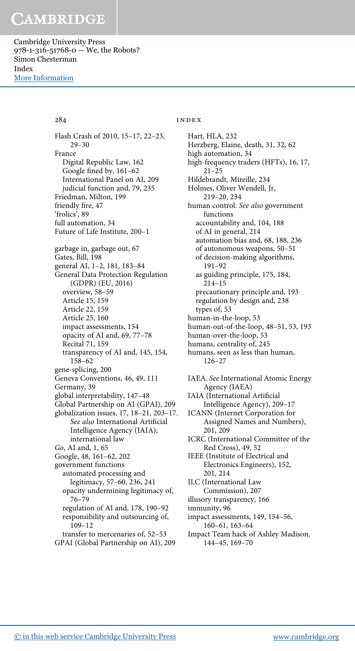Cambridge University Press 978-1-316-51768-0 — We, the Robots? Simon Chesterman Index [More Information](www.cambridge.org/9781316517680)

Flash Crash of 2010, 15–17, 22–23, 29–30 France Digital Republic Law, 162 Google fined by, 161–62 International Panel on AI, 209 judicial function and, 79, 235 Friedman, Milton, 199 friendly fire, 47 'frolics', 89 full automation, 34 Future of Life Institute, 200–1 garbage in, garbage out, 67 Gates, Bill, 198 general AI, 1–2, 181, 183–84 General Data Protection Regulation (GDPR) (EU, 2016) overview, 58–59 Article 15, 159 Article 22, 159 Article 25, 160 impact assessments, 154 opacity of AI and, 69, 77–78 Recital 71, 159 transparency of AI and, 145, 154, 158–62 gene-splicing, 200 Geneva Conventions, 46, 49, 111 Germany, 39 global interpretability, 147–48 Global Partnership on AI (GPAI), 209 globalization issues, 17, 18–21, 203–17. See also International Artificial Intelligence Agency (IAIA); international law Go, AI and, 1, 65 Google, 48, 161–62, 202 government functions automated processing and legitimacy, 57–60, 236, 241 opacity undermining legitimacy of, 76–79 regulation of AI and, 178, 190–92 responsibility and outsourcing of, 109–12 transfer to mercenaries of, 52–53 GPAI (Global Partnership on AI), 209

### 284 INDEX

Hart, HLA, 232 Herzberg, Elaine, death, 31, 32, 62 high automation, 34 high-frequency traders (HFTs), 16, 17, 21–25 Hildebrandt, Mireille, 234 Holmes, Oliver Wendell, Jr, 219–20, 234 human control. See also government functions accountability and, 104, 188 of AI in general, 214 automation bias and, 68, 188, 236 of autonomous weapons, 50–51 of decision-making algorithms, 191–92 as guiding principle, 175, 184, 214–15 precautionary principle and, 193 regulation by design and, 238 types of, 53 human-in-the-loop, 53 human-out-of-the-loop, 48–51, 53, 193 human-over-the-loop, 53 humans, centrality of, 245 humans, seen as less than human, 126–27 IAEA. See International Atomic Energy Agency (IAEA) IAIA (International Artificial Intelligence Agency), 209–17 ICANN (Internet Corporation for Assigned Names and Numbers), 201, 209 ICRC (International Committee of the Red Cross), 49, 52 IEEE (Institute of Electrical and Electronics Engineers), 152, 201, 214 ILC (International Law Commission), 207 illusory transparency, 166 immunity, 96 impact assessments, 149, 154–56, 160–61, 163–64 Impact Team hack of Ashley Madison, 144–45, 169–70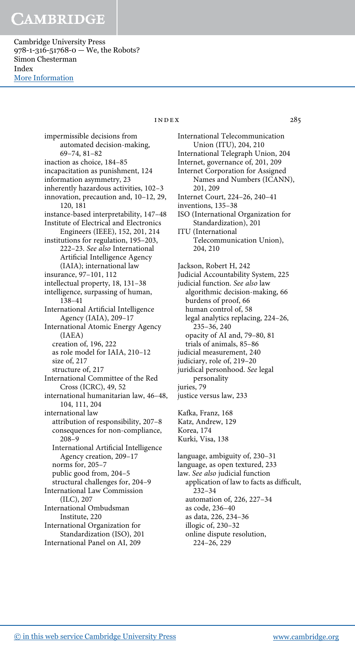Cambridge University Press 978-1-316-51768-0 — We, the Robots? Simon Chesterman Index [More Information](www.cambridge.org/9781316517680)

> impermissible decisions from automated decision-making, 69–74, 81–82 inaction as choice, 184–85 incapacitation as punishment, 124 information asymmetry, 23 inherently hazardous activities, 102–3 innovation, precaution and, 10–12, 29, 120, 181 instance-based interpretability, 147–48 Institute of Electrical and Electronics Engineers (IEEE), 152, 201, 214 institutions for regulation, 195–203, 222–23. See also International Artificial Intelligence Agency (IAIA); international law insurance, 97–101, 112 intellectual property, 18, 131–38 intelligence, surpassing of human, 138–41 International Artificial Intelligence Agency (IAIA), 209–17 International Atomic Energy Agency (IAEA) creation of, 196, 222 as role model for IAIA, 210–12 size of, 217 structure of, 217 International Committee of the Red Cross (ICRC), 49, 52 international humanitarian law, 46–48, 104, 111, 204 international law attribution of responsibility, 207–8 consequences for non-compliance, 208–9 International Artificial Intelligence Agency creation, 209–17 norms for, 205–7 public good from, 204–5 structural challenges for, 204–9 International Law Commission (ILC), 207 International Ombudsman Institute, 220 International Organization for Standardization (ISO), 201 International Panel on AI, 209

### index 285

International Telecommunication Union (ITU), 204, 210 International Telegraph Union, 204 Internet, governance of, 201, 209 Internet Corporation for Assigned Names and Numbers (ICANN), 201, 209 Internet Court, 224–26, 240–41 inventions, 135–38 ISO (International Organization for Standardization), 201 ITU (International Telecommunication Union), 204, 210 Jackson, Robert H, 242 Judicial Accountability System, 225 judicial function. See also law algorithmic decision-making, 66 burdens of proof, 66 human control of, 58 legal analytics replacing, 224–26, 235–36, 240 opacity of AI and, 79–80, 81 trials of animals, 85–86 judicial measurement, 240 judiciary, role of, 219–20 juridical personhood. See legal personality juries, 79 justice versus law, 233 Kafka, Franz, 168 Katz, Andrew, 129 Korea, 174 Kurki, Visa, 138 language, ambiguity of, 230–31 language, as open textured, 233 law. See also judicial function

application of law to facts as difficult, 232–34 automation of, 226, 227–34 as code, 236–40 as data, 226, 234–36 illogic of, 230–32 online dispute resolution, 224–26, 229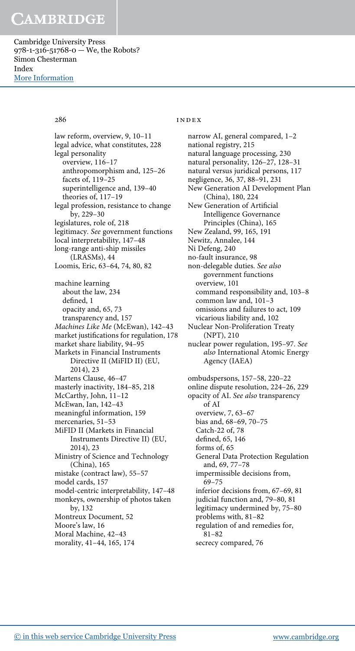Cambridge University Press 978-1-316-51768-0 — We, the Robots? Simon Chesterman Index [More Information](www.cambridge.org/9781316517680)

law reform, overview, 9, 10–11 legal advice, what constitutes, 228 legal personality overview, 116–17 anthropomorphism and, 125–26 facets of, 119–25 superintelligence and, 139–40 theories of, 117–19 legal profession, resistance to change by, 229–30 legislatures, role of, 218 legitimacy. See government functions local interpretability, 147–48 long-range anti-ship missiles (LRASMs), 44 Loomis, Eric, 63–64, 74, 80, 82 machine learning about the law, 234 defined, 1 opacity and, 65, 73 transparency and, 157 Machines Like Me (McEwan), 142–43 market justifications for regulation, 178 market share liability, 94–95 Markets in Financial Instruments Directive II (MiFID II) (EU, 2014), 23 Martens Clause, 46–47 masterly inactivity, 184–85, 218 McCarthy, John, 11–12 McEwan, Ian, 142–43 meaningful information, 159 mercenaries, 51–53 MiFID II (Markets in Financial Instruments Directive II) (EU, 2014), 23 Ministry of Science and Technology (China), 165 mistake (contract law), 55–57 model cards, 157 model-centric interpretability, 147–48 monkeys, ownership of photos taken by, 132 Montreux Document, 52 Moore's law, 16 Moral Machine, 42–43 morality, 41–44, 165, 174

### 286 index

narrow AI, general compared, 1–2 national registry, 215 natural language processing, 230 natural personality, 126–27, 128–31 natural versus juridical persons, 117 negligence, 36, 37, 88–91, 231 New Generation AI Development Plan (China), 180, 224 New Generation of Artificial Intelligence Governance Principles (China), 165 New Zealand, 99, 165, 191 Newitz, Annalee, 144 Ni Defeng, 240 no-fault insurance, 98 non-delegable duties. See also government functions overview, 101 command responsibility and, 103–8 common law and, 101–3 omissions and failures to act, 109 vicarious liability and, 102 Nuclear Non-Proliferation Treaty (NPT), 210 nuclear power regulation, 195–97. See also International Atomic Energy Agency (IAEA) ombudspersons, 157–58, 220–22 online dispute resolution, 224–26, 229 opacity of AI. See also transparency of AI overview, 7, 63–67 bias and, 68–69, 70–75 Catch-22 of, 78 defined, 65, 146 forms of, 65 General Data Protection Regulation and, 69, 77–78 impermissible decisions from, 69–75 inferior decisions from, 67–69, 81 judicial function and, 79–80, 81 legitimacy undermined by, 75–80 problems with, 81–82 regulation of and remedies for, 81–82 secrecy compared, 76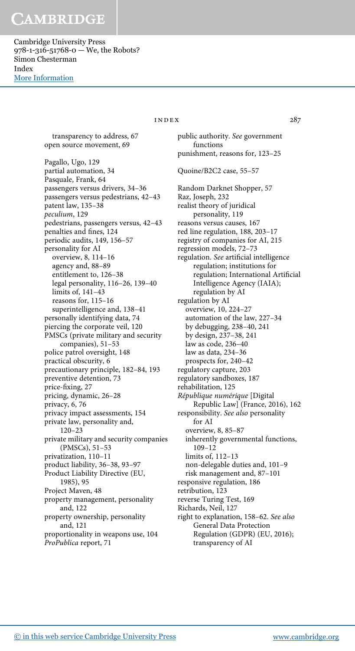Cambridge University Press 978-1-316-51768-0 — We, the Robots? Simon Chesterman Index [More Information](www.cambridge.org/9781316517680)

 $INDEX$  287

transparency to address, 67 open source movement, 69

Pagallo, Ugo, 129 partial automation, 34 Pasquale, Frank, 64 passengers versus drivers, 34–36 passengers versus pedestrians, 42–43 patent law, 135–38 peculium, 129 pedestrians, passengers versus, 42–43 penalties and fines, 124 periodic audits, 149, 156–57 personality for AI overview, 8, 114–16 agency and, 88–89 entitlement to, 126–38 legal personality, 116–26, 139–40 limits of, 141–43 reasons for, 115–16 superintelligence and, 138–41 personally identifying data, 74 piercing the corporate veil, 120 PMSCs (private military and security companies), 51–53 police patrol oversight, 148 practical obscurity, 6 precautionary principle, 182–84, 193 preventive detention, 73 price-fixing, 27 pricing, dynamic, 26–28 privacy, 6, 76 privacy impact assessments, 154 private law, personality and, 120–23 private military and security companies (PMSCs), 51–53 privatization, 110–11 product liability, 36–38, 93–97 Product Liability Directive (EU, 1985), 95 Project Maven, 48 property management, personality and, 122 property ownership, personality and, 121 proportionality in weapons use, 104 ProPublica report, 71

public authority. See government functions punishment, reasons for, 123–25 Quoine/B2C2 case, 55–57 Random Darknet Shopper, 57 Raz, Joseph, 232 realist theory of juridical personality, 119 reasons versus causes, 167 red line regulation, 188, 203–17 registry of companies for AI, 215 regression models, 72–73 regulation. See artificial intelligence regulation; institutions for regulation; International Artificial Intelligence Agency (IAIA); regulation by AI regulation by AI overview, 10, 224–27 automation of the law, 227–34 by debugging, 238–40, 241 by design, 237–38, 241 law as code, 236–40 law as data, 234–36 prospects for, 240–42 regulatory capture, 203 regulatory sandboxes, 187 rehabilitation, 125 République numérique [Digital Republic Law] (France, 2016), 162 responsibility. See also personality for AI overview, 8, 85–87 inherently governmental functions, 109–12 limits of, 112–13 non-delegable duties and, 101–9 risk management and, 87–101 responsive regulation, 186 retribution, 123 reverse Turing Test, 169 Richards, Neil, 127 right to explanation, 158–62. See also General Data Protection Regulation (GDPR) (EU, 2016); transparency of AI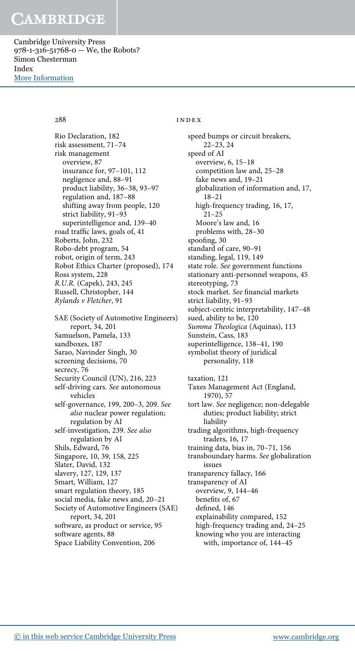Cambridge University Press 978-1-316-51768-0 — We, the Robots? Simon Chesterman Index [More Information](www.cambridge.org/9781316517680)

Rio Declaration, 182 risk assessment, 71–74 risk management overview, 87 insurance for, 97–101, 112 negligence and, 88–91 product liability, 36–38, 93–97 regulation and, 187–88 shifting away from people, 120 strict liability, 91–93 superintelligence and, 139–40 road traffic laws, goals of, 41 Roberts, John, 232 Robo-debt program, 54 robot, origin of term, 243 Robot Ethics Charter (proposed), 174 Ross system, 228 R.U.R. (Capek), 243, 245 Russell, Christopher, 144 Rylands v Fletcher, 91 SAE (Society of Automotive Engineers) report, 34, 201 Samuelson, Pamela, 133 sandboxes, 187 Sarao, Navinder Singh, 30 screening decisions, 70 secrecy, 76 Security Council (UN), 216, 223 self-driving cars. See autonomous vehicles self-governance, 199, 200–3, 209. See also nuclear power regulation; regulation by AI self-investigation, 239. See also regulation by AI Shils, Edward, 76 Singapore, 10, 39, 158, 225 Slater, David, 132 slavery, 127, 129, 137 Smart, William, 127 smart regulation theory, 185 social media, fake news and, 20–21 Society of Automotive Engineers (SAE) report, 34, 201 software, as product or service, 95 software agents, 88 Space Liability Convention, 206

### 288 index

speed bumps or circuit breakers, 22–23, 24 speed of AI overview, 6, 15–18 competition law and, 25–28 fake news and, 19–21 globalization of information and, 17, 18–21 high-frequency trading, 16, 17, 21–25 Moore's law and, 16 problems with, 28–30 spoofing, 30 standard of care, 90–91 standing, legal, 119, 149 state role. See government functions stationary anti-personnel weapons, 45 stereotyping, 73 stock market. See financial markets strict liability, 91–93 subject-centric interpretability, 147–48 sued, ability to be, 120 Summa Theologica (Aquinas), 113 Sunstein, Cass, 183 superintelligence, 138–41, 190 symbolist theory of juridical personality, 118 taxation, 121 Taxes Management Act (England, 1970), 57 tort law. See negligence; non-delegable duties; product liability; strict liability trading algorithms, high-frequency traders, 16, 17 training data, bias in, 70–71, 156 transboundary harms. See globalization issues transparency fallacy, 166 transparency of AI overview, 9, 144–46 benefits of, 67 defined, 146 explainability compared, 152 high-frequency trading and, 24–25 knowing who you are interacting with, importance of, 144–45